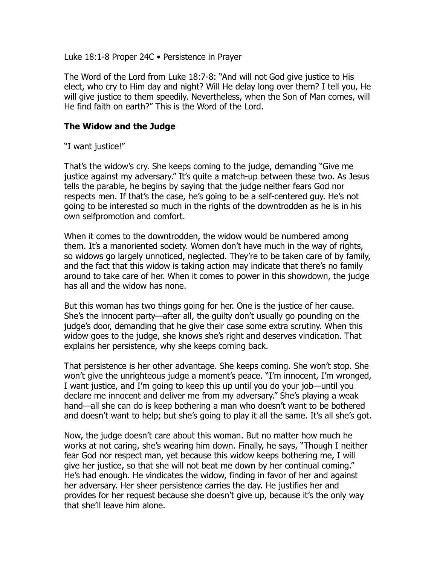Luke 18:1-8 Proper 24C • Persistence in Prayer

The Word of the Lord from Luke 18:7-8: "And will not God give justice to His elect, who cry to Him day and night? Will He delay long over them? I tell you, He will give justice to them speedily. Nevertheless, when the Son of Man comes, will He find faith on earth?" This is the Word of the Lord.

## **The Widow and the Judge**

"I want justice!"

That's the widow's cry. She keeps coming to the judge, demanding "Give me justice against my adversary." It's quite a match-up between these two. As Jesus tells the parable, he begins by saying that the judge neither fears God nor respects men. If that's the case, he's going to be a self-centered guy. He's not going to be interested so much in the rights of the downtrodden as he is in his own selfpromotion and comfort.

When it comes to the downtrodden, the widow would be numbered among them. It's a manoriented society. Women don't have much in the way of rights, so widows go largely unnoticed, neglected. They're to be taken care of by family, and the fact that this widow is taking action may indicate that there's no family around to take care of her. When it comes to power in this showdown, the judge has all and the widow has none.

But this woman has two things going for her. One is the justice of her cause. She's the innocent party—after all, the guilty don't usually go pounding on the judge's door, demanding that he give their case some extra scrutiny. When this widow goes to the judge, she knows she's right and deserves vindication. That explains her persistence, why she keeps coming back.

That persistence is her other advantage. She keeps coming. She won't stop. She won't give the unrighteous judge a moment's peace. "I'm innocent, I'm wronged, I want justice, and I'm going to keep this up until you do your job—until you declare me innocent and deliver me from my adversary." She's playing a weak hand—all she can do is keep bothering a man who doesn't want to be bothered and doesn't want to help; but she's going to play it all the same. It's all she's got.

Now, the judge doesn't care about this woman. But no matter how much he works at not caring, she's wearing him down. Finally, he says, "Though I neither fear God nor respect man, yet because this widow keeps bothering me, I will give her justice, so that she will not beat me down by her continual coming." He's had enough. He vindicates the widow, finding in favor of her and against her adversary. Her sheer persistence carries the day. He justifies her and provides for her request because she doesn't give up, because it's the only way that she'll leave him alone.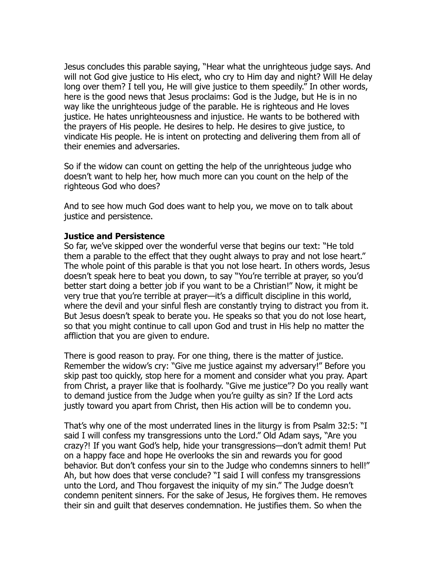Jesus concludes this parable saying, "Hear what the unrighteous judge says. And will not God give justice to His elect, who cry to Him day and night? Will He delay long over them? I tell you, He will give justice to them speedily." In other words, here is the good news that Jesus proclaims: God is the Judge, but He is in no way like the unrighteous judge of the parable. He is righteous and He loves justice. He hates unrighteousness and injustice. He wants to be bothered with the prayers of His people. He desires to help. He desires to give justice, to vindicate His people. He is intent on protecting and delivering them from all of their enemies and adversaries.

So if the widow can count on getting the help of the unrighteous judge who doesn't want to help her, how much more can you count on the help of the righteous God who does?

And to see how much God does want to help you, we move on to talk about justice and persistence.

## **Justice and Persistence**

So far, we've skipped over the wonderful verse that begins our text: "He told them a parable to the effect that they ought always to pray and not lose heart." The whole point of this parable is that you not lose heart. In others words, Jesus doesn't speak here to beat you down, to say "You're terrible at prayer, so you'd better start doing a better job if you want to be a Christian!" Now, it might be very true that you're terrible at prayer—it's a difficult discipline in this world, where the devil and your sinful flesh are constantly trying to distract you from it. But Jesus doesn't speak to berate you. He speaks so that you do not lose heart, so that you might continue to call upon God and trust in His help no matter the affliction that you are given to endure.

There is good reason to pray. For one thing, there is the matter of justice. Remember the widow's cry: "Give me justice against my adversary!" Before you skip past too quickly, stop here for a moment and consider what you pray. Apart from Christ, a prayer like that is foolhardy. "Give me justice"? Do you really want to demand justice from the Judge when you're guilty as sin? If the Lord acts justly toward you apart from Christ, then His action will be to condemn you.

That's why one of the most underrated lines in the liturgy is from Psalm 32:5: "I said I will confess my transgressions unto the Lord." Old Adam says, "Are you crazy?! If you want God's help, hide your transgressions—don't admit them! Put on a happy face and hope He overlooks the sin and rewards you for good behavior. But don't confess your sin to the Judge who condemns sinners to hell!" Ah, but how does that verse conclude? "I said I will confess my transgressions unto the Lord, and Thou forgavest the iniquity of my sin." The Judge doesn't condemn penitent sinners. For the sake of Jesus, He forgives them. He removes their sin and guilt that deserves condemnation. He justifies them. So when the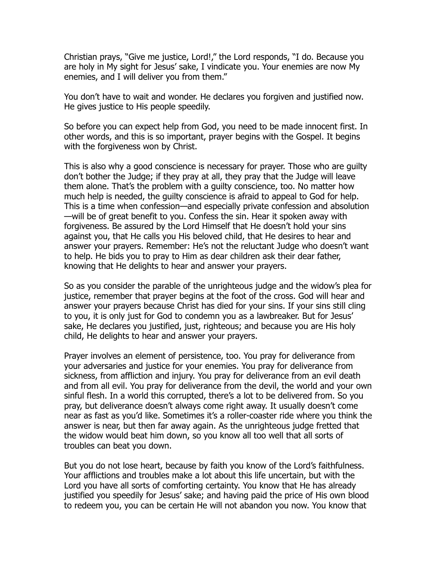Christian prays, "Give me justice, Lord!," the Lord responds, "I do. Because you are holy in My sight for Jesus' sake, I vindicate you. Your enemies are now My enemies, and I will deliver you from them."

You don't have to wait and wonder. He declares you forgiven and justified now. He gives justice to His people speedily.

So before you can expect help from God, you need to be made innocent first. In other words, and this is so important, prayer begins with the Gospel. It begins with the forgiveness won by Christ.

This is also why a good conscience is necessary for prayer. Those who are guilty don't bother the Judge; if they pray at all, they pray that the Judge will leave them alone. That's the problem with a guilty conscience, too. No matter how much help is needed, the guilty conscience is afraid to appeal to God for help. This is a time when confession—and especially private confession and absolution —will be of great benefit to you. Confess the sin. Hear it spoken away with forgiveness. Be assured by the Lord Himself that He doesn't hold your sins against you, that He calls you His beloved child, that He desires to hear and answer your prayers. Remember: He's not the reluctant Judge who doesn't want to help. He bids you to pray to Him as dear children ask their dear father, knowing that He delights to hear and answer your prayers.

So as you consider the parable of the unrighteous judge and the widow's plea for justice, remember that prayer begins at the foot of the cross. God will hear and answer your prayers because Christ has died for your sins. If your sins still cling to you, it is only just for God to condemn you as a lawbreaker. But for Jesus' sake, He declares you justified, just, righteous; and because you are His holy child, He delights to hear and answer your prayers.

Prayer involves an element of persistence, too. You pray for deliverance from your adversaries and justice for your enemies. You pray for deliverance from sickness, from affliction and injury. You pray for deliverance from an evil death and from all evil. You pray for deliverance from the devil, the world and your own sinful flesh. In a world this corrupted, there's a lot to be delivered from. So you pray, but deliverance doesn't always come right away. It usually doesn't come near as fast as you'd like. Sometimes it's a roller-coaster ride where you think the answer is near, but then far away again. As the unrighteous judge fretted that the widow would beat him down, so you know all too well that all sorts of troubles can beat you down.

But you do not lose heart, because by faith you know of the Lord's faithfulness. Your afflictions and troubles make a lot about this life uncertain, but with the Lord you have all sorts of comforting certainty. You know that He has already justified you speedily for Jesus' sake; and having paid the price of His own blood to redeem you, you can be certain He will not abandon you now. You know that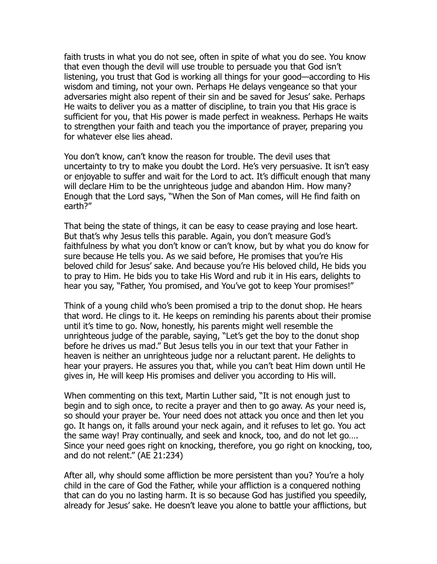faith trusts in what you do not see, often in spite of what you do see. You know that even though the devil will use trouble to persuade you that God isn't listening, you trust that God is working all things for your good—according to His wisdom and timing, not your own. Perhaps He delays vengeance so that your adversaries might also repent of their sin and be saved for Jesus' sake. Perhaps He waits to deliver you as a matter of discipline, to train you that His grace is sufficient for you, that His power is made perfect in weakness. Perhaps He waits to strengthen your faith and teach you the importance of prayer, preparing you for whatever else lies ahead.

You don't know, can't know the reason for trouble. The devil uses that uncertainty to try to make you doubt the Lord. He's very persuasive. It isn't easy or enjoyable to suffer and wait for the Lord to act. It's difficult enough that many will declare Him to be the unrighteous judge and abandon Him. How many? Enough that the Lord says, "When the Son of Man comes, will He find faith on earth?"

That being the state of things, it can be easy to cease praying and lose heart. But that's why Jesus tells this parable. Again, you don't measure God's faithfulness by what you don't know or can't know, but by what you do know for sure because He tells you. As we said before, He promises that you're His beloved child for Jesus' sake. And because you're His beloved child, He bids you to pray to Him. He bids you to take His Word and rub it in His ears, delights to hear you say, "Father, You promised, and You've got to keep Your promises!"

Think of a young child who's been promised a trip to the donut shop. He hears that word. He clings to it. He keeps on reminding his parents about their promise until it's time to go. Now, honestly, his parents might well resemble the unrighteous judge of the parable, saying, "Let's get the boy to the donut shop before he drives us mad." But Jesus tells you in our text that your Father in heaven is neither an unrighteous judge nor a reluctant parent. He delights to hear your prayers. He assures you that, while you can't beat Him down until He gives in, He will keep His promises and deliver you according to His will.

When commenting on this text, Martin Luther said, "It is not enough just to begin and to sigh once, to recite a prayer and then to go away. As your need is, so should your prayer be. Your need does not attack you once and then let you go. It hangs on, it falls around your neck again, and it refuses to let go. You act the same way! Pray continually, and seek and knock, too, and do not let go…. Since your need goes right on knocking, therefore, you go right on knocking, too, and do not relent." (AE 21:234)

After all, why should some affliction be more persistent than you? You're a holy child in the care of God the Father, while your affliction is a conquered nothing that can do you no lasting harm. It is so because God has justified you speedily, already for Jesus' sake. He doesn't leave you alone to battle your afflictions, but